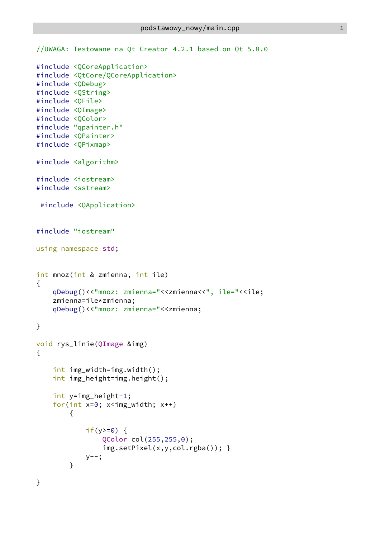```
//UWAGA: Testowane na Qt Creator 4.2.1 based on Qt 5.8.0
#include <QCoreApplication>
#include <QtCore/QCoreApplication>
#include <QDebug>
#include <QString>
#include <QFile>
#include <QImage>
#include <QColor>
#include "qpainter.h"
#include <QPainter>
#include <QPixmap>
#include <algorithm>
#include <iostream>
#include <sstream>
#include <QApplication>
#include "iostream"
using namespace std;
int mnoz(int & zmienna, int ile)
{
   qDebug()<<"mnoz: zmienna="<<zmienna<<", ile="<<ile;
   zmienna=ile*zmienna;
   qDebug()<<"mnoz: zmienna="<<zmienna;
}
void rys_linie(QImage &img)
{
   int img_width=img.width();
   int img_height=img.height();
   int y=img_height-1;
   for(int x=0; x \leq imx, x++)
       {
           if(y>=0) {
               QColor col(255,255,0);
               img.setPixel(x,y,col.rgba()); }
           y--;}
}
```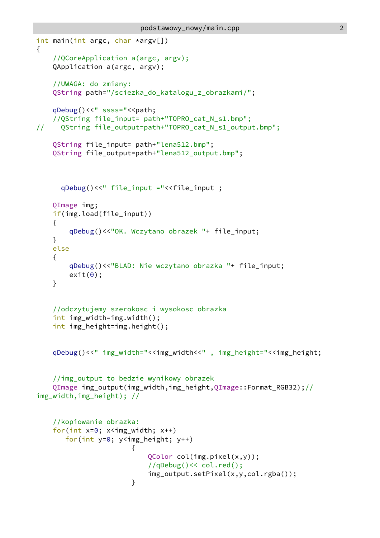```
int main(int argc, char *argv[])
{
   //QCoreApplication a(argc, argv);
   QApplication a(argc, argv);
   //UWAGA: do zmiany:
   QString path="/sciezka_do_katalogu_z_obrazkami/";
   qDebug()<<" ssss="<<path;
   //QString file_input= path+"TOPRO_cat_N_s1.bmp";
// QString file_output=path+"TOPRO_cat_N_s1_output.bmp";
   QString file_input= path+"lena512.bmp";
   QString file_output=path+"lena512_output.bmp";
     qDebug()<<" file_input ="<<file_input ;
   QImage img;
   if(img.load(file_input))
   {
       qDebug()<<"OK. Wczytano obrazek "+ file_input;
   }
   else
   {
       qDebug()<<"BLAD: Nie wczytano obrazka "+ file_input;
       exit(0);}
   //odczytujemy szerokosc i wysokosc obrazka
   int img_width=img.width();
   int img_height=img.height();
   qDebug()<<" img_width="<<img_width<<", img_height="<<img_height;
   //img_output to bedzie wynikowy obrazek
   QImage img_output(img_width,img_height,QImage::Format_RGB32);//
img_width,img_height); //
   //kopiowanie obrazka:
   for(int x=0; x<img_width; x++)
      for(int y=0; y<img_height; y++)
                     {
                         QColor col(img.pixel(x,y));
                         //qDebug()<< col.red();
                         img_output.setPixel(x,y,col.rgba());
                     }
```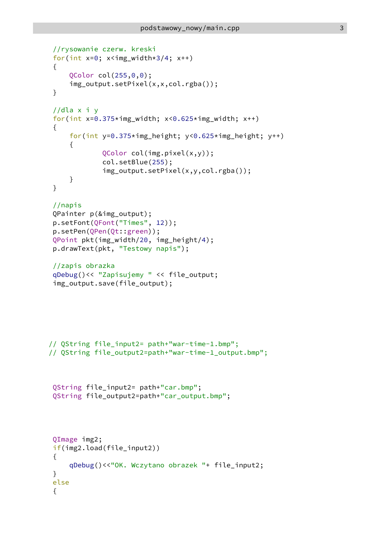```
//rysowanie czerw. kreski
 for(int x=0; x<img_width*3/4; x++)
 {
    QColor col(255,0,0);
    img_output.setPixel(x,x,col.rgba());
 }
 //dla x i y
for(int x=0.375*img width; x<0.625*img width; x++)
 {
    for(int y=0.375*img_height; y<0.625*img_height; y++)
    {
           QColor col(img.pixel(x,y));
           col.setBlue(255);
           img_output.setPixel(x,y,col.rgba());
    }
 }
 //napis
QPainter p(&img_output);
p.setFont(QFont("Times", 12));
p.setPen(QPen(Qt::green));
QPoint pkt(img_width/20, img_height/4);
p.drawText(pkt, "Testowy napis");
 //zapis obrazka
qDebug()<< "Zapisujemy " << file_output;
 img_output.save(file_output);
// QString file_input2= path+"war-time-1.bmp";
// QString file_output2=path+"war-time-1_output.bmp";
QString file_input2= path+"car.bmp";
QString file_output2=path+"car_output.bmp";
QImage img2;
if(img2.load(file_input2))
 {
    qDebug()<<"OK. Wczytano obrazek "+ file_input2;
 }
else
 {
```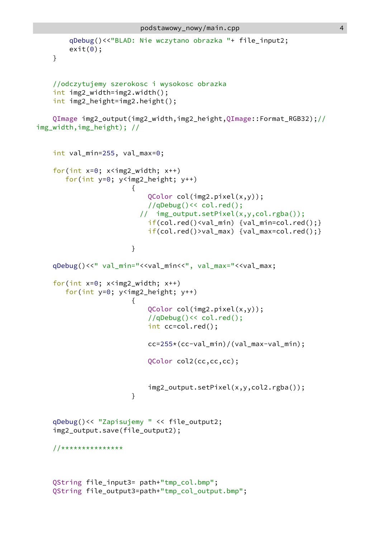```
qDebug()<<"BLAD: Nie wczytano obrazka "+ file_input2;
   exit(0);}
```

```
//odczytujemy szerokosc i wysokosc obrazka
int img2_width=img2.width();
int img2_height=img2.height();
```
QImage img2\_output(img2\_width,img2\_height,QImage::Format\_RGB32);// img\_width,img\_height); //

```
int val_min=255, val_max=0;
for(int x=0; x<img2_width; x++)
  for(int y=0; y<img2_height; y++)
                  {
                     QColor col(img2.pixel(x,y));
                     //qDebug()<< col.red();
                   // img_output.setPixel(x,y,col.rgba());
                     if(col.red()<val_min) {val_min=col.red();}
                     if(col.red()>val_max) {val_max=col.red();}
                  }
qDebug()<<" val_min="<<val_min<<", val_max="<<val_max;
for(int x=0; x<img2_width; x++)
  for(int y=0; y<img2_height; y++)
                  {
                     QColor col(img2.pixel(x,y));
                     //qDebug()<< col.red();
                     int cc=col.red();
                     cc=255*(cc-val_min)/(val_max-val_min);
                     QColor col2(cc,cc,cc);
                     img2_output.setPixel(x,y,col2.rgba());
                  }
qDebug()<< "Zapisujemy " << file_output2;
img2_output.save(file_output2);
//***************
QString file_input3= path+"tmp_col.bmp";
QString file_output3=path+"tmp_col_output.bmp";
```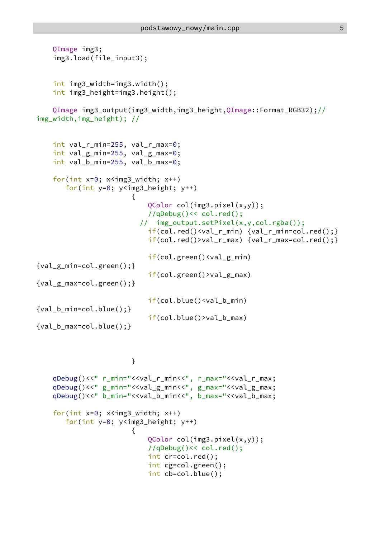```
QImage img3;
    img3.load(file_input3);
   int img3_width=img3.width();
   int img3_height=img3.height();
   QImage img3_output(img3_width,img3_height,QImage::Format_RGB32);//
img_width,img_height); //
   int val_r_min=255, val_r_max=0;
   int val_g_min=255, val_g_max=0;
   int val_b_min=255, val_b_max=0;
    for(int x=0; x<img3 width; x++)
       for(int y=0; y<img3_height; y++)
                       {
                           QColor col(img3.pixel(x,y));
                           //qDebug()<< col.red();
                         // img_output.setPixel(x,y,col.rgba());
                           if(col.red() \le val_rmin) \{val_r_mmin=col.red();\}if(col.red()>val_r_max) {val_r_max=col.red();}
                           if(col.green()<val_g_min)
{val_g_min=col.green();}
                           if(col.green()>val_g_max)
{val_g_max=col.green();}
                           if(col.blue()<val b_min)
{val_b_min=col.blue();}
                           if(col.blue()>val_b_max)
{val_b_max=col.blue();}
```

```
}
```

```
qDebug()<<" r_min="<<val_r_min<<", r_max="<<val_r_max;
qDebug()<<" g_min="<<val_g_min<<", g_max="<<val_g_max;
qDebug()<<" b_min="<<val_b_min<<", b_max="<<val_b_max;
for(int x=0; x<img3_width; x++)
   for(int y=0; y<img3_height; y++)
                  {
                      QColor col(img3.pixel(x,y));
                      //qDebug()<< col.red();
                      int cr=col.red();
                      int cg=col.green();
                      int cb=col.blue();
```